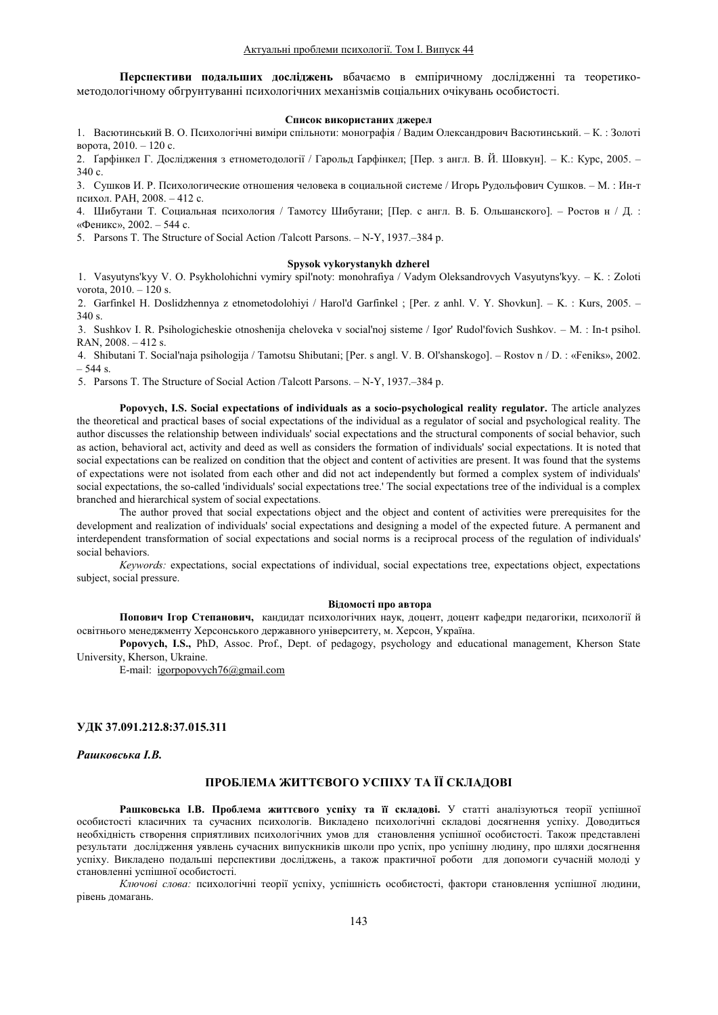Перспективи подальших досліджень вбачаємо в емпіричному дослідженні та теоретикометолологічному обгрунтуванні психологічних механізмів соціальних очікувань особистості.

### Список використаних джерел

1. Васютинський В. О. Психологічні виміри спільноти: монографія / Вадим Олександрович Васютинський. - К.: Золоті ворота,  $2010 - 120$  с.

2. Ґарфінкел Г. Дослідження з етнометодології / Гарольд Ґарфінкел; [Пер. з англ. В. Й. Шовкун]. – К.: Курс, 2005. – 340 c.

3. Сушков И. Р. Психологические отношения человека в социальной системе / Игорь Рудольфович Сушков. - М.: Ин-т психол. РАН, 2008. - 412 с.

4. Шибутани Т. Социальная психология / Тамотсу Шибутани; [Пер. с англ. В. Б. Ольшанского]. – Ростов н / Д. : «Феникс», 2002. - 544 с.

5. Parsons T. The Structure of Social Action /Talcott Parsons. - N-Y, 1937.-384 p.

### **Spysok vykorystanykh dzherel**

1. Vasyutyns'kyy V. O. Psykholohichni vymiry spil'noty: monohrafiya / Vadym Oleksandrovych Vasyutyns'kyy. - K. : Zoloti vorota,  $2010 - 120$  s.

2. Garfinkel H. Doslidzhennya z etnometodolohiyi / Harol'd Garfinkel ; [Per. z anhl. V. Y. Shovkun]. - K. : Kurs, 2005. - $340 s$ 

3. Sushkov I. R. Psihologicheskie otnoshenija cheloveka v sociaľnoj sisteme / Igor' Rudol'fovich Sushkov. – M.: In-t psihol. RAN,  $2008. - 412$  s.

4. Shibutani T. Social'naja psihologija / Tamotsu Shibutani; [Per. s angl. V. B. Ol'shanskogo]. – Rostov n / D. : «Feniks», 2002.  $-544$  s.

5. Parsons T. The Structure of Social Action /Talcott Parsons.  $- N-Y$ , 1937. $-384 p$ .

**Popovych, I.S. Social expectations of individuals as a socio-psychological reality regulator.** The article analyzes the theoretical and practical bases of social expectations of the individual as a regulator of social and psychological reality. The author discusses the relationship between individuals' social expectations and the structural components of social behavior, such as action, behavioral act, activity and deed as well as considers the formation of individuals' social expectations. It is noted that social expectations can be realized on condition that the object and content of activities are present. It was found that the systems of expectations were not isolated from each other and did not act independently but formed a complex system of individuals' social expectations, the so-called 'individuals' social expectations tree.' The social expectations tree of the individual is a complex branched and hierarchical system of social expectations.

The author proved that social expectations object and the object and content of activities were prerequisites for the development and realization of individuals' social expectations and designing a model of the expected future. A permanent and interdependent transformation of social expectations and social norms is a reciprocal process of the regulation of individuals' social behaviors.

*Keywords:* expectations, social expectations of individual, social expectations tree, expectations object, expectations subject, social pressure.

### **Відомості про автора**

Попович Ігор Степанович, кандидат психологічних наук, доцент, доцент кафедри педагогіки, психології й освітнього менеджменту Херсонського державного університету, м. Херсон, Україна.

**Popovych, I.S.,** PhD, Assoc. Prof., Dept. of pedagogy, psychology and educational management, Kherson State University, Kherson, Ukraine.

E-mail: igorpopovych76@gmail.com

### **ɍȾɄ015.311**

**Рашковська І.В.** 

## ПРОБЛЕМА ЖИТТЄВОГО УСПІХУ ТА ЇЇ СКЛАДОВІ

Рашковська І.В. Проблема життєвого успіху та її складові. У статті аналізуються теорії успішної особистості класичних та сучасних психологів. Викладено психологічні складові досягнення успіху. Доводиться необхідність створення сприятливих психологічних умов для становлення успішної особистості. Також представлені результати дослідження уявлень сучасних випускників школи про успіх, про успішну людину, про шляхи досягнення успіху. Викладено подальші перспективи досліджень, а також практичної роботи для допомоги сучасній молоді у становленні успішної особистості.

Ключові слова: психологічні теорії успіху, успішність особистості, фактори становлення успішної людини, рівень домагань.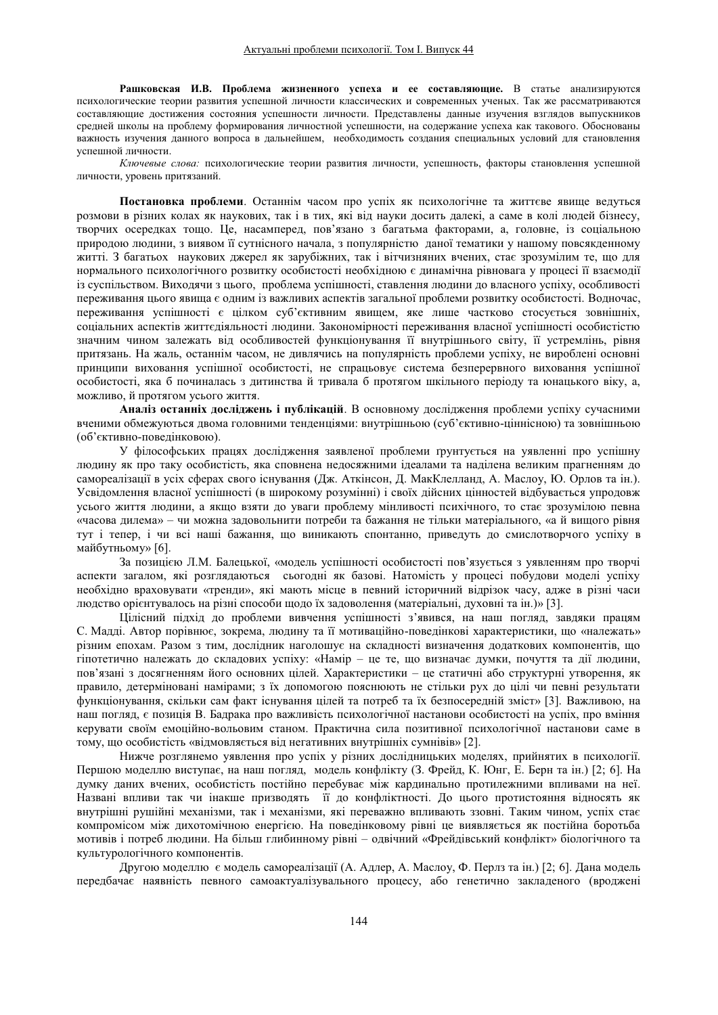Рашковская И.В. Проблема жизненного успеха и ее составляющие. В статье анализируются психологические теории развития успешной личности классических и современных ученых. Так же рассматриваются составляющие достижения состояния успешности личности. Представлены данные изучения взглядов выпускников средней школы на проблему формирования личностной успешности, на содержание успеха как такового. Обоснованы важность изучения данного вопроса в дальнейшем, необходимость создания специальных условий для становлення успешной личности.

Ключевые слова: психологические теории развития личности, успешность, факторы становлення успешной личности, уровень притязаний.

Постановка проблеми. Останнім часом про успіх як психологічне та життєве явище ведуться розмови в різних колах як наукових, так і в тих, які від науки досить далекі, а саме в колі людей бізнесу, творчих осередках тощо. Це, насамперед, пов'язано з багатьма факторами, а, головне, із соціальною природою людини, з виявом її сутнісного начала, з популярністю даної тематики у нашому повсякденному житті. З багатьох наукових джерел як зарубіжних, так і вітчизняних вчених, стає зрозумілим те, що для нормального психологічного розвитку особистості необхідною є динамічна рівновага у процесі її взаємодії із суспільством. Виходячи з цього, проблема успішності, ставлення людини до власного успіху, особливості переживання цього явища є одним із важливих аспектів загальної проблеми розвитку особистості. Водночас, переживання успішності є цілком суб'єктивним явищем, яке лише частково стосується зовнішніх, соціальних аспектів життєдіяльності людини. Закономірності переживання власної успішності особистістю значним чином залежать від особливостей функціонування її внутрішнього світу, її устремлінь, рівня притязань. На жаль, останнім часом, не дивлячись на популярність проблеми успіху, не вироблені основні принципи виховання успішної особистості, не спрацьовує система безперервного виховання успішної особистості, яка б починалась з дитинства й тривала б протягом шкільного періоду та юнацького віку, а, можливо, й протягом усього життя.

**Аналіз останніх лослілжень і публікацій**. В основному лослілження проблеми успіху сучасними вченими обмежуються двома головними тенденціями: внутрішньою (суб'єктивно-ціннісною) та зовнішньою (об'єктивно-поведінковою).

У філософських працях дослідження заявленої проблеми ґрунтується на уявленні про успішну людину як про таку особистість, яка сповнена недосяжними ідеалами та наділена великим прагненням до самореалізації в усіх сферах свого існування (Дж. Аткінсон, Д. МакКлелланд, А. Маслоу, Ю. Орлов та ін.). Усвідомлення власної успішності (в широкому розумінні) і своїх дійсних цінностей відбувається упродовж усього життя людини, а якщо взяти до уваги проблему мінливості психічного, то стає зрозумілою певна «часова дилема» - чи можна задовольнити потреби та бажання не тільки матеріального, «а й вищого рівня тут і тепер, і чи всі наші бажання, що виникають спонтанно, приведуть до смислотворчого успіху в майбутньому» [6].

За позицією Л.М. Балецької, «модель успішності особистості пов'язується з уявленням про творчі аспекти загалом, які розглядаються сьогодні як базові. Натомість у процесі побудови моделі успіху необхідно враховувати «тренди», які мають місце в певний історичний відрізок часу, адже в різні часи людство орієнтувалось на різні способи щодо їх задоволення (матеріальні, духовні та ін.)» [3].

Цілісний підхід до проблеми вивчення успішності з'явився, на наш погляд, завдяки працям С. Мадді. Автор порівнює, зокрема, людину та її мотиваційно-поведінкові характеристики, що «належать» різним епохам. Разом з тим, дослідник наголошує на складності визначення додаткових компонентів, що гіпотетично належать до складових успіху: «Намір - це те, що визначає думки, почуття та дії людини, пов'язані з досягненням його основних цілей. Характеристики – це статичні або структурні утворення, як правило, детерміновані намірами; з їх допомогою пояснюють не стільки рух до цілі чи певні результати функціонування, скільки сам факт існування цілей та потреб та їх безпосередній зміст» [3]. Важливою, на наш погляд, є позиція В. Бадрака про важливість психологічної настанови особистості на успіх, про вміння керувати своїм емоційно-вольовим станом. Практична сила позитивної психологічної настанови саме в тому, що особистість «відмовляється від негативних внутрішніх сумнівів» [2].

Нижче розглянемо уявлення про успіх у різних дослідницьких моделях, прийнятих в психології. Першою моделлю виступає, на наш погляд, модель конфлікту (3. Фрейд, К. Юнг, Е. Берн та ін.) [2; 6]. На думку даних вчених, особистість постійно перебуває між кардинально протилежними впливами на неї. Названі впливи так чи інакше призводять її до конфліктності. До цього протистояння відносять як внутрішні рушійні механізми, так і механізми, які переважно впливають ззовні. Таким чином, успіх стає компромісом між дихотомічною енергією. На повелінковому рівні це виявляється як постійна боротьба мотивів і потреб людини. На більш глибинному рівні – одвічний «Фрейдівський конфлікт» біологічного та культурологічного компонентів.

Другою моделлю є модель самореалізації (А. Адлер, А. Маслоу, Ф. Перлз та ін.) [2; 6]. Дана модель передбачає наявність певного самоактуалізувального процесу, або генетично закладеного (вроджені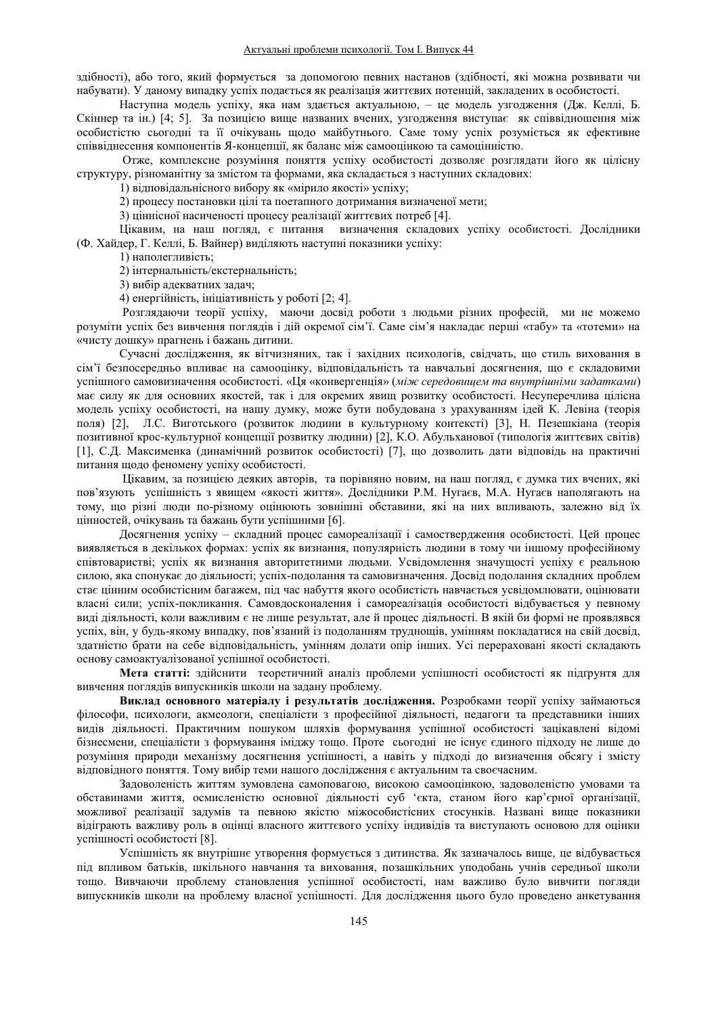здібності), або того, який формується за допомогою певних настанов (здібності, які можна розвивати чи набувати). У даному випадку успіх подається як реалізація життєвих потенцій, закладених в особистості.

Наступна модель успіху, яка нам здається актуальною, – це модель узгодження (Дж. Келлі, Б. Скіннер та ін.) [4; 5]. За позицією вище названих вчених, узгодження виступає як співвідношення між особистістю сьогодні та її очікувань щодо майбутнього. Саме тому успіх розуміється як ефективне співвіднесення компонентів Я-концепції, як баланс між самооцінкою та самоцінністю.

Отже, комплексне розуміння поняття успіху особистості дозволяє розглядати його як цілісну структуру, різноманітну за змістом та формами, яка складається з наступних складових:

1) відповідальнісного вибору як «мірило якості» успіху;

2) процесу постановки цілі та поетапного дотримання визначеної мети;

3) ціннісної насиченості процесу реалізації життєвих потреб [4].

Цікавим, на наш погляд, є питання визначення складових успіху особистості. Дослідники (Ф. Хайдер, Г. Келлі, Б. Вайнер) виділяють наступні показники успіху:

1) наполегливість;

2) інтернальність/екстернальність;

3) вибір адекватних задач;

4) енергійність, ініціативність у роботі [2; 4].

Розглядаючи теорії успіху, маючи досвід роботи з людьми різних професій, ми не можемо розуміти успіх без вивчення поглядів і дій окремої сім'ї. Саме сім'я накладає перші «табу» та «тотеми» на «чисту дошку» прагнень і бажань дитини.

Сучасні дослідження, як вітчизняних, так і західних психологів, свідчать, що стиль виховання в сім'ї безпосередньо впливає на самооцінку, відповідальність та навчальні досягнення, що є складовими успішного самовизначення особистості. «Ця «конвергенція» (між середовищем та внутрішніми задатками) має силу як для основних якостей, так і для окремих явищ розвитку особистості. Несуперечлива цілісна модель успіху особистості, на нашу думку, може бути побудована з урахуванням ідей К. Левіна (теорія поля) [2], Л.С. Виготського (розвиток людини в культурному контексті) [3], Н. Пезешкіана (теорія позитивної крос-культурної концепції розвитку людини) [2], К.О. Абульханової (типологія життєвих світів) [1], С.Д. Максименка (динамічний розвиток особистості) [7], що дозволить дати відповідь на практичні питання щодо феномену успіху особистості.

Цікавим, за позицією деяких авторів, та порівняно новим, на наш погляд, є думка тих вчених, які пов'язують успішність з явищем «якості життя». Дослідники Р.М. Нугаєв, М.А. Нугаєв наполягають на тому, що різні люди по-різному оцінюють зовнішні обставини, які на них впливають, залежно від їх цінностей, очікувань та бажань бути успішними [6].

Досягнення успіху - складний процес самореалізації і самоствердження особистості. Цей процес виявляється в декількох формах: успіх як визнання, популярність людини в тому чи іншому професійному співтоваристві; успіх як визнання авторитетними людьми. Усвідомлення значущості успіху є реальною силою, яка спонукає до діяльності; успіх-подолання та самовизначення. Досвід подолання складних проблем стає цінним особистісним багажем, під час набуття якого особистість навчається усвідомлювати, оцінювати власні сили; успіх-покликання. Самовдосконалення і самореалізація особистості відбувається у певному виді діяльності, коли важливим є не лише результат, але й процес діяльності. В якій би формі не проявлявся успіх, він, у будь-якому випадку, пов'язаний із подоланням труднощів, умінням покладатися на свій досвід, здатністю брати на себе відповідальність, умінням долати опір інших. Усі перераховані якості складають основу самоактуалізованої успішної особистості.

Мета статті: здійснити теоретичний аналіз проблеми успішності особистості як підґрунтя для вивчення поглядів випускників школи на задану проблему.

Виклад основного матеріалу і результатів дослідження. Розробками теорії успіху займаються філософи, психологи, акмеологи, спеціалісти з професійної діяльності, педагоги та представники інших видів діяльності. Практичним пошуком шляхів формування успішної особистості зацікавлені відомі бізнесмени, спеціалісти з формування іміджу тощо. Проте сьогодні не існує єдиного підходу не лише до розуміння природи механізму досягнення успішності, а навіть у підході до визначення обсягу і змісту відповідного поняття. Тому вибір теми нашого дослідження є актуальним та своєчасним.

Задоволеність життям зумовлена самоповагою, високою самооцінкою, задоволеністю умовами та обставинами життя, осмисленістю основної діяльності суб 'єкта, станом його кар'єрної організації, можливої реалізації задумів та певною якістю міжособистісних стосунків. Названі вище показники віліграють важливу роль в опінці власного життєвого успіху індивілів та виступають основою для опінки venimuoeri особиетості [8].

Успішність як внутрішнє утворення формується з дитинства. Як зазначалось вище, це відбувається під впливом батьків, шкільного навчання та виховання, позашкільних уподобань учнів середньої школи тощо. Вивчаючи проблему становлення успішної особистості, нам важливо було вивчити погляди випускників школи на проблему власної успішності. Для дослідження цього було проведено анкетування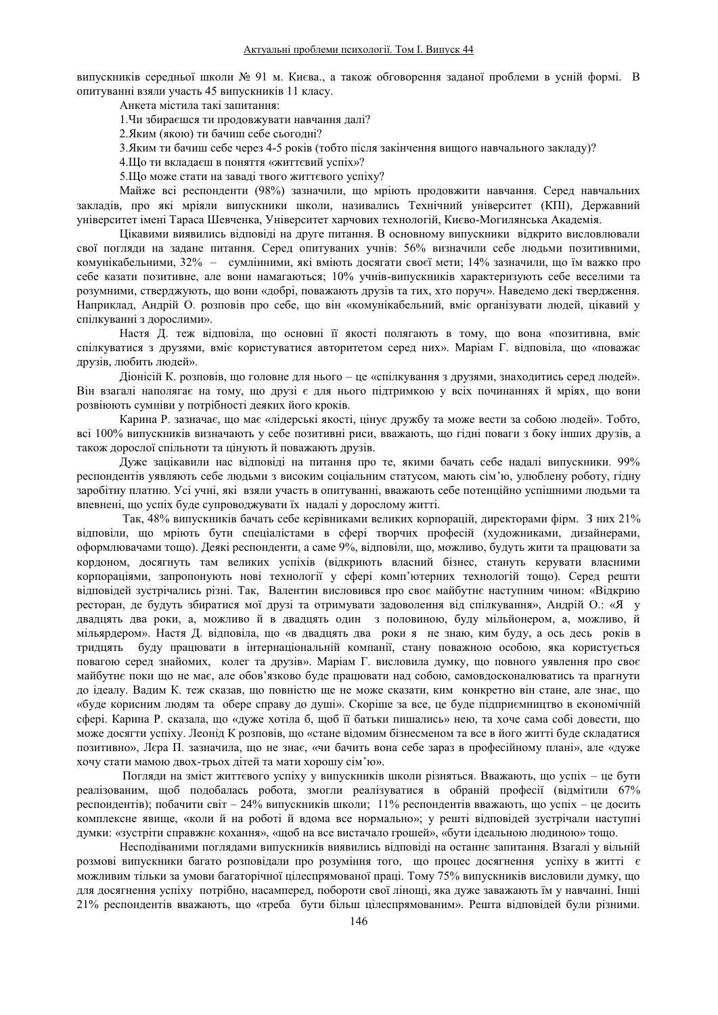випускників середньої школи № 91 м. Києва., а також обговорення заданої проблеми в усній формі. В опитуванні взяли участь 45 випускників 11 класу.

Анкета містила такі запитання:

1. Чи збираєшся ти продовжувати навчання далі?

2. Яким (якою) ти бачиш себе сьогодні?

3. Яким ти бачиш себе через 4-5 років (тобто після закінчення вищого навчального закладу)?

4.Що ти вкладаєш в поняття «життєвий успіх»?

5.Що може стати на заваді твого життєвого успіху?

Майже всі респонденти (98%) зазначили, що мріють продовжити навчання. Серед навчальних закладів, про які мріяли випускники школи, називались Технічний університет (КПІ), Державний үніверситет імені Тараса Шевченка, Університет харчових технологій, Києво-Могилянська Академія.

Цікавими виявились відповіді на друге питання. В основному випускники відкрито висловлювали свої погляди на задане питання. Серед опитуваних учнів: 56% визначили себе людьми позитивними, комунікабельними, 32% - сумлінними, які вміють досягати своєї мети; 14% зазначили, що їм важко про себе казати позитивне, але вони намагаються; 10% учнів-випускників характеризують себе веселими та розумними, стверджують, що вони «добрі, поважають друзів та тих, хто поруч». Наведемо декі твердження. Наприклад, Андрій О, розповів про себе, що він «комунікабельний, вміє організувати людей, цікавий у спілкуванні з дорослими».

Настя Д. теж відповіла, що основні її якості полягають в тому, що вона «позитивна, вміє спілкуватися з друзями, вміє користуватися авторитетом серед них». Маріам Г. відповіла, що «поважає друзів, любить людей».

Діонісій К. розповів, що головне для нього - це «спілкування з друзями, знаходитись серед людей». Він взагалі наполягає на тому, що друзі є для нього підтримкою у всіх починаннях й мріях, що вони розвіюють сумніви у потрібності деяких його кроків.

Карина Р. зазначає, що має «лідерські якості, цінує дружбу та може вести за собою людей». Тобто, всі 100% випускників визначають у себе позитивні риси, вважають, що гідні поваги з боку інших друзів, а також дорослої спільноти та цінують й поважають друзів.

Дуже зацікавили нас відповіді на питання про те, якими бачать себе надалі випускники. 99% респондентів уявляють себе людьми з високим соціальним статусом, мають сім'ю, улюблену роботу, гідну заробітну платню. Усі учні, які взяли участь в опитуванні, вважають себе потенційно успішними людьми та впевнені, що успіх буде супроводжувати їх надалі у дорослому житті.

Так, 48% випускників бачать себе керівниками великих корпорацій, директорами фірм. З них 21% відповіли, що мріють бути спеціалістами в сфері творчих професій (художниками, дизайнерами, оформлювачами тощо). Деякі респонденти, а саме 9%, відповіли, що, можливо, будуть жити та працювати за кордоном, досягнуть там великих успіхів (відкриють власний бізнес, стануть керувати власними корпораціями, запропонують нові технології у сфері комп'ютерних технологій тощо). Серед решти відповідей зустрічались різні. Так, Валентин висловився про своє майбутнє наступним чином: «Відкрию ресторан, де будуть збиратися мої друзі та отримувати задоволення від спілкування», Андрій О.: «Я у двадцять два роки, а, можливо й в двадцять один з половиною, буду мільйонером, а, можливо, й мільярдером». Настя Д. відповіла, що «в двадцять два роки я не знаю, ким буду, а ось десь років в тридцять буду працювати в інтернаціональній компанії, стану поважною особою, яка користується повагою серед знайомих, колег та друзів». Маріам Г. висловила думку, що повного уявлення про своє майбутнє поки що не має, але обов'язково буде працювати над собою, самовдосконалюватись та прагнути до ідеалу. Вадим К. теж сказав, що повністю ще не може сказати, ким конкретно він стане, але знає, що «буде корисним людям та обере справу до душі». Скоріше за все, це буде підприємництво в економічній сфері. Карина Р. сказала, що «дуже хотіла б, щоб її батьки пишались» нею, та хоче сама собі довести, що може досягти успіху. Леонід К розповів, що «стане відомим бізнесменом та все в його житті буде складатися позитивно», Лєра П. зазначила, що не знає, «чи бачить вона себе зараз в професійному плані», але «дуже хочу стати мамою двох-трьох дітей та мати хорошу сім'ю».

Погляди на зміст життєвого успіху у випускників школи різняться. Вважають, що успіх - це бути реалізованим, щоб подобалась робота, змогли реалізуватися в обраній професії (відмітили 67% респондентів); побачити світ – 24% випускників школи; 11% респондентів вважають, що успіх – це досить комплексне явище, «коли й на роботі й вдома все нормально»; у решті відповідей зустрічали наступні думки: «зустріти справжнє кохання», «щоб на все вистачало грошей», «бути ідеальною людиною» тощо.

Несподіваними поглядами випускників виявились відповіді на останнє запитання. Взагалі у вільній розмові випускники багато розповідали про розуміння того, що процес досягнення успіху в житті є можливим тільки за умови багаторічної цілеспрямованої праці. Тому 75% випускників висловили думку, що для досягнення успіху потрібно, насамперед, побороти свої лінощі, яка дуже заважають їм у навчанні. Інші 21% респондентів вважають, що «треба бути більш цілеспрямованим». Решта відповідей були різними.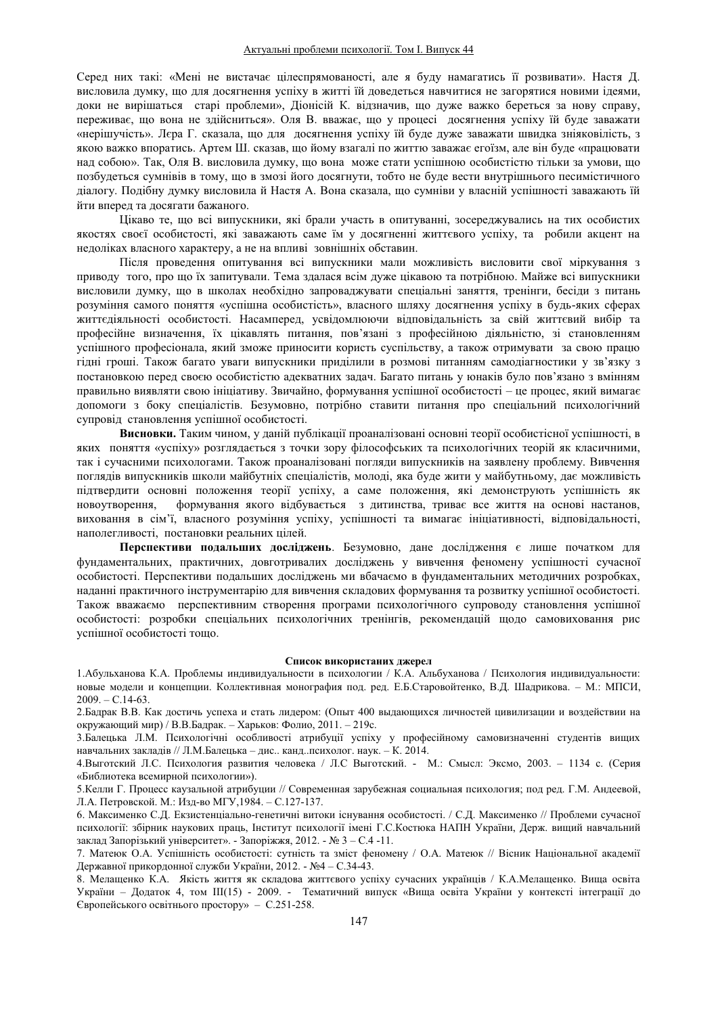Серед них такі: «Мені не вистачає цілеспрямованості, але я буду намагатись її розвивати». Настя Д. висловила думку, що для досягнення успіху в житті їй доведеться навчитися не загорятися новими ідеями, доки не вирішаться старі проблеми», Діонісій К. відзначив, що дуже важко береться за нову справу, переживає, що вона не здійсниться». Оля В. вважає, що у процесі досягнення успіху їй буде заважати «нерішучість». Лера Г. сказала, що для досягнення успіху їй буде дуже заважати швидка зніяковілість, з якою важко впоратись. Артем Ш. сказав, що йому взагалі по життю заважає егоїзм, але він буде «працювати над собою». Так, Оля В. висловила думку, що вона може стати успішною особистістю тільки за умови, що позбудеться сумнівів в тому, що в змозі його досягнути, тобто не буде вести внутрішнього песимістичного діалогу. Подібну думку висловила й Настя А. Вона сказала, що сумніви у власній успішності заважають їй йти вперед та досягати бажаного.

Цікаво те, що всі випускники, які брали участь в опитуванні, зосереджувались на тих особистих якостях своєї особистості, які заважають саме їм у досягненні життєвого успіху, та робили акцент на недоліках власного характеру, а не на впливі зовнішніх обставин.

Після проведення опитування всі випускники мали можливість висловити свої міркування з приводу того, про що їх запитували. Тема здалася всім дуже цікавою та потрібною. Майже всі випускники висловили думку, що в школах необхідно запроваджувати спеціальні заняття, тренінги, бесіди з питань розуміння самого поняття «успішна особистість», власного шляху досягнення успіху в будь-яких сферах життєдіяльності особистості. Насамперед, усвідомлюючи відповідальність за свій життєвий вибір та професійне визначення, їх цікавлять питання, пов'язані з професійною діяльністю, зі становленням успішного професіонала, який зможе приносити користь суспільству, а також отримувати за свою працю гідні гроші. Також багато уваги випускники приділили в розмові питанням самодіагностики у зв'язку з постановкою перед своєю особистістю адекватних задач. Багато питань у юнаків було пов'язано з вмінням правильно виявляти свою ініціативу. Звичайно, формування успішної особистості – це процес, який вимагає допомоги з боку спеціалістів. Безумовно, потрібно ставити питання про спеціальний психологічний супровід становлення успішної особистості.

Висновки. Таким чином, у даній публікації проаналізовані основні теорії особистісної успішності, в яких поняття «успіху» розглядається з точки зору філософських та психологічних теорій як класичними, так і сучасними психологами. Також проаналізовані погляди випускників на заявлену проблему. Вивчення поглядів випускників школи майбутніх спеціалістів, молоді, яка буде жити у майбутньому, дає можливість підтвердити основні положення теорії успіху, а саме положення, які демонструють успішність як новоутворення, формування якого відбувається з дитинства, триває все життя на основі настанов, виховання в сім'ї, власного розуміння успіху, успішності та вимагає ініціативності, відповідальності, наполегливості, постановки реальних цілей.

Перспективи подальших досліджень. Безумовно, дане дослідження є лише початком для фундаментальних, практичних, довготривалих досліджень у вивчення феномену успішності сучасної особистості. Перспективи подальших досліджень ми вбачаємо в фундаментальних методичних розробках, наданні практичного інструментарію для вивчення складових формування та розвитку успішної особистості. Також вважаємо перспективним створення програми психологічного супроводу становлення успішної особистості: розробки спеціальних психологічних тренінгів, рекомендацій щодо самовиховання рис успішної особистості тощо.

### Список використаних джерел

1. Абульханова К.А. Проблемы индивидуальности в психологии / К.А. Альбуханова / Психология индивидуальности: новые модели и концепции. Коллективная монография под. ред. Е.Б.Старовойтенко, В.Д. Шадрикова. - М.: МПСИ,  $2009. - C.14-63.$ 

2.Бадрак В.В. Как достичь успеха и стать лидером: (Опыт 400 выдающихся личностей цивилизации и воздействии на окружающий мир) / В.В.Бадрак. - Харьков: Фолио, 2011. - 219с.

3. Балецька Л.М. Психологічні особливості атрибуції успіху у професійному самовизначенні студентів вищих навчальних закладів // Л.М.Балецька - дис.. канд..психолог. наук. - К. 2014.

4.Выготский Л.С. Психология развития человека / Л.С Выготский. - М.: Смысл: Эксмо, 2003. - 1134 с. (Серия «Библиотека всемирной психологии»).

5. Келли Г. Процесс каузальной атрибуции // Современная зарубежная социальная психология; под ред. Г.М. Андеевой, Л.А. Петровской. М.: Изд-во МГУ, 1984. - С. 127-137.

6. Максименко С.Д. Екзистенціально-генетичні витоки існування особистості. / С.Д. Максименко // Проблеми сучасної психології: збірник наукових праць, Інститут психології імені Г.С.Костюка НАПН України, Держ. вищий навчальний заклад Запорізький університет». - Запоріжжя, 2012. - № 3 - С.4 -11.

7. Матеюк О.А. Успішність особистості: сутність та зміст феномену / О.А. Матеюк // Вісник Національної акалемії  $\pi$ ержавної прикорлонної служби України, 2012. - №4 – С.34-43.

8. Мелащенко К.А. Якість життя як складова життєвого успіху сучасних українців / К.А.Мелащенко. Вища освіта України - Додаток 4, том III(15) - 2009. - Тематичний випуск «Вища освіта України у контексті інтеграції до Європейського освітнього простору» - С.251-258.